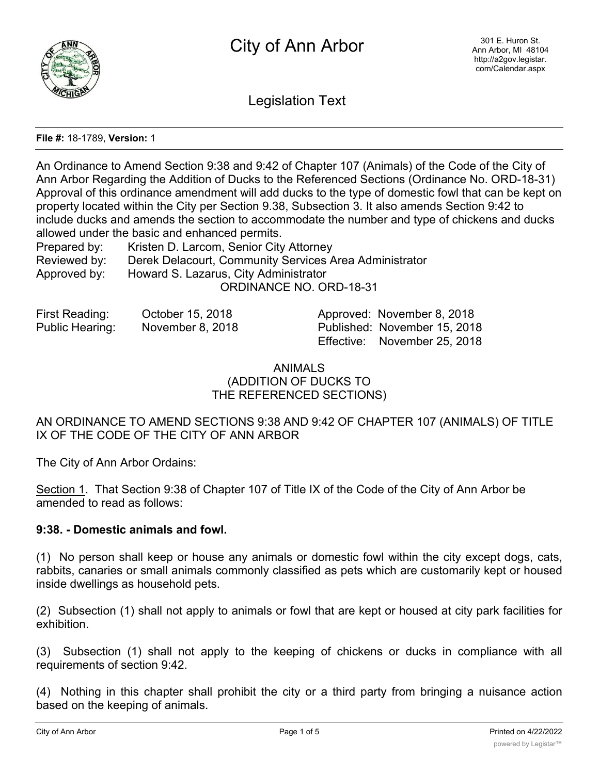

Legislation Text

## **File #:** 18-1789, **Version:** 1

An Ordinance to Amend Section 9:38 and 9:42 of Chapter 107 (Animals) of the Code of the City of Ann Arbor Regarding the Addition of Ducks to the Referenced Sections (Ordinance No. ORD-18-31) Approval of this ordinance amendment will add ducks to the type of domestic fowl that can be kept on property located within the City per Section 9.38, Subsection 3. It also amends Section 9:42 to include ducks and amends the section to accommodate the number and type of chickens and ducks allowed under the basic and enhanced permits.

| Prepared by: | Kristen D. Larcom, Senior City Attorney                |  |  |
|--------------|--------------------------------------------------------|--|--|
| Reviewed by: | Derek Delacourt, Community Services Area Administrator |  |  |
| Approved by: | Howard S. Lazarus, City Administrator                  |  |  |
|              | ORDINANCE NO. ORD-18-31                                |  |  |

| First Reading:  | October 15, 2018 | Approved: November 8, 2018   |
|-----------------|------------------|------------------------------|
| Public Hearing: | November 8, 2018 | Published: November 15, 2018 |
|                 |                  | Effective: November 25, 2018 |

ANIMALS (ADDITION OF DUCKS TO THE REFERENCED SECTIONS)

AN ORDINANCE TO AMEND SECTIONS 9:38 AND 9:42 OF CHAPTER 107 (ANIMALS) OF TITLE IX OF THE CODE OF THE CITY OF ANN ARBOR

The City of Ann Arbor Ordains:

Section 1. That Section 9:38 of Chapter 107 of Title IX of the Code of the City of Ann Arbor be amended to read as follows:

## **9:38. - Domestic animals and fowl.**

(1) No person shall keep or house any animals or domestic fowl within the city except dogs, cats, rabbits, canaries or small animals commonly classified as pets which are customarily kept or housed inside dwellings as household pets.

(2) Subsection (1) shall not apply to animals or fowl that are kept or housed at city park facilities for exhibition.

(3) Subsection (1) shall not apply to the keeping of chickens or ducks in compliance with all requirements of section 9:42.

(4) Nothing in this chapter shall prohibit the city or a third party from bringing a nuisance action based on the keeping of animals.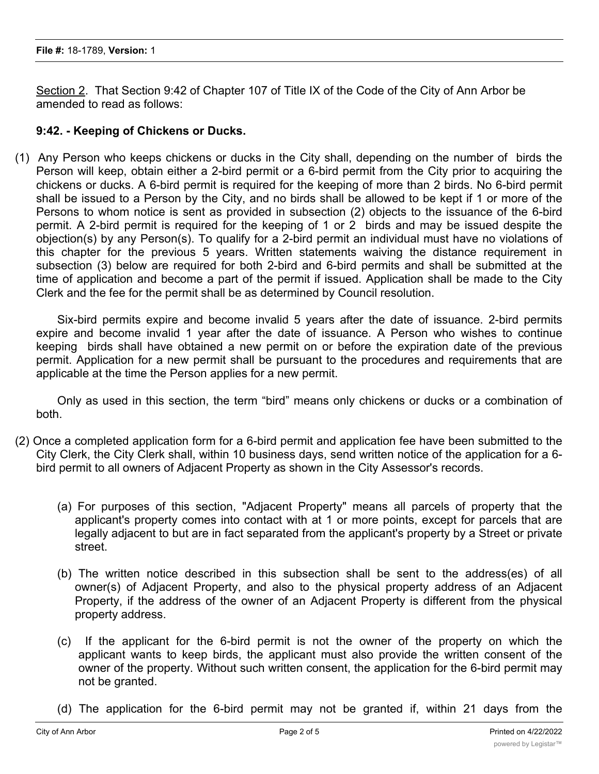Section 2. That Section 9:42 of Chapter 107 of Title IX of the Code of the City of Ann Arbor be amended to read as follows:

## **9:42. - Keeping of Chickens or Ducks.**

(1) Any Person who keeps chickens or ducks in the City shall, depending on the number of birds the Person will keep, obtain either a 2-bird permit or a 6-bird permit from the City prior to acquiring the chickens or ducks. A 6-bird permit is required for the keeping of more than 2 birds. No 6-bird permit shall be issued to a Person by the City, and no birds shall be allowed to be kept if 1 or more of the Persons to whom notice is sent as provided in subsection (2) objects to the issuance of the 6-bird permit. A 2-bird permit is required for the keeping of 1 or 2 birds and may be issued despite the objection(s) by any Person(s). To qualify for a 2-bird permit an individual must have no violations of this chapter for the previous 5 years. Written statements waiving the distance requirement in subsection (3) below are required for both 2-bird and 6-bird permits and shall be submitted at the time of application and become a part of the permit if issued. Application shall be made to the City Clerk and the fee for the permit shall be as determined by Council resolution.

Six-bird permits expire and become invalid 5 years after the date of issuance. 2-bird permits expire and become invalid 1 year after the date of issuance. A Person who wishes to continue keeping birds shall have obtained a new permit on or before the expiration date of the previous permit. Application for a new permit shall be pursuant to the procedures and requirements that are applicable at the time the Person applies for a new permit.

Only as used in this section, the term "bird" means only chickens or ducks or a combination of both.

- (2) Once a completed application form for a 6-bird permit and application fee have been submitted to the City Clerk, the City Clerk shall, within 10 business days, send written notice of the application for a 6 bird permit to all owners of Adjacent Property as shown in the City Assessor's records.
	- (a) For purposes of this section, "Adjacent Property" means all parcels of property that the applicant's property comes into contact with at 1 or more points, except for parcels that are legally adjacent to but are in fact separated from the applicant's property by a Street or private street.
	- (b) The written notice described in this subsection shall be sent to the address(es) of all owner(s) of Adjacent Property, and also to the physical property address of an Adjacent Property, if the address of the owner of an Adjacent Property is different from the physical property address.
	- (c) If the applicant for the 6-bird permit is not the owner of the property on which the applicant wants to keep birds, the applicant must also provide the written consent of the owner of the property. Without such written consent, the application for the 6-bird permit may not be granted.
	- (d) The application for the 6-bird permit may not be granted if, within 21 days from the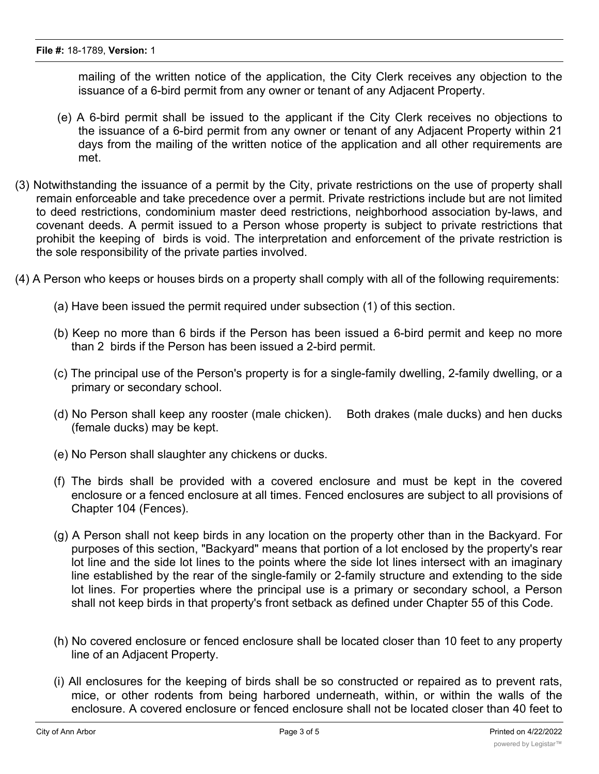mailing of the written notice of the application, the City Clerk receives any objection to the issuance of a 6-bird permit from any owner or tenant of any Adjacent Property.

- (e) A 6-bird permit shall be issued to the applicant if the City Clerk receives no objections to the issuance of a 6-bird permit from any owner or tenant of any Adjacent Property within 21 days from the mailing of the written notice of the application and all other requirements are met.
- (3) Notwithstanding the issuance of a permit by the City, private restrictions on the use of property shall remain enforceable and take precedence over a permit. Private restrictions include but are not limited to deed restrictions, condominium master deed restrictions, neighborhood association by-laws, and covenant deeds. A permit issued to a Person whose property is subject to private restrictions that prohibit the keeping of birds is void. The interpretation and enforcement of the private restriction is the sole responsibility of the private parties involved.
- (4) A Person who keeps or houses birds on a property shall comply with all of the following requirements:
	- (a) Have been issued the permit required under subsection (1) of this section.
	- (b) Keep no more than 6 birds if the Person has been issued a 6-bird permit and keep no more than 2 birds if the Person has been issued a 2-bird permit.
	- (c) The principal use of the Person's property is for a single-family dwelling, 2-family dwelling, or a primary or secondary school.
	- (d) No Person shall keep any rooster (male chicken). Both drakes (male ducks) and hen ducks (female ducks) may be kept.
	- (e) No Person shall slaughter any chickens or ducks.
	- (f) The birds shall be provided with a covered enclosure and must be kept in the covered enclosure or a fenced enclosure at all times. Fenced enclosures are subject to all provisions of Chapter 104 (Fences).
	- (g) A Person shall not keep birds in any location on the property other than in the Backyard. For purposes of this section, "Backyard" means that portion of a lot enclosed by the property's rear lot line and the side lot lines to the points where the side lot lines intersect with an imaginary line established by the rear of the single-family or 2-family structure and extending to the side lot lines. For properties where the principal use is a primary or secondary school, a Person shall not keep birds in that property's front setback as defined under Chapter 55 of this Code.
	- (h) No covered enclosure or fenced enclosure shall be located closer than 10 feet to any property line of an Adjacent Property.
	- (i) All enclosures for the keeping of birds shall be so constructed or repaired as to prevent rats, mice, or other rodents from being harbored underneath, within, or within the walls of the enclosure. A covered enclosure or fenced enclosure shall not be located closer than 40 feet to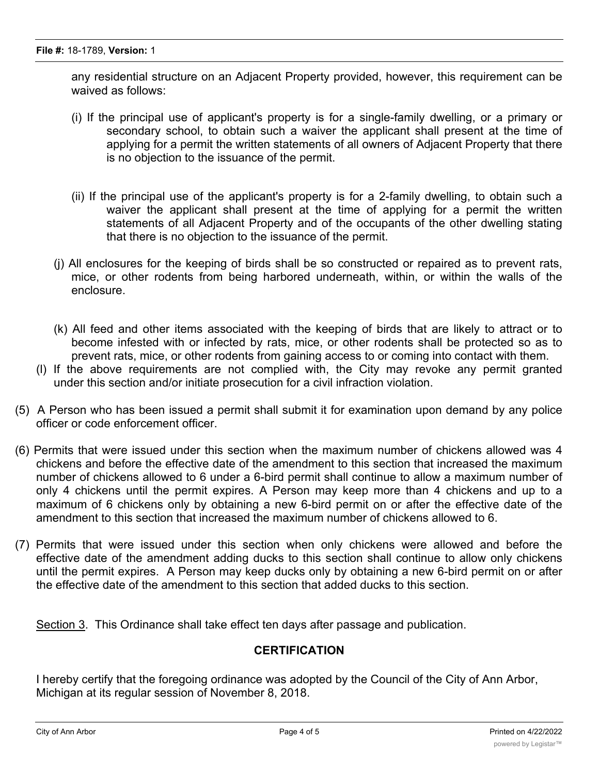any residential structure on an Adjacent Property provided, however, this requirement can be waived as follows:

- (i) If the principal use of applicant's property is for a single-family dwelling, or a primary or secondary school, to obtain such a waiver the applicant shall present at the time of applying for a permit the written statements of all owners of Adjacent Property that there is no objection to the issuance of the permit.
- (ii) If the principal use of the applicant's property is for a 2-family dwelling, to obtain such a waiver the applicant shall present at the time of applying for a permit the written statements of all Adjacent Property and of the occupants of the other dwelling stating that there is no objection to the issuance of the permit.
- (j) All enclosures for the keeping of birds shall be so constructed or repaired as to prevent rats, mice, or other rodents from being harbored underneath, within, or within the walls of the enclosure.
- (k) All feed and other items associated with the keeping of birds that are likely to attract or to become infested with or infected by rats, mice, or other rodents shall be protected so as to prevent rats, mice, or other rodents from gaining access to or coming into contact with them.
- (l) If the above requirements are not complied with, the City may revoke any permit granted under this section and/or initiate prosecution for a civil infraction violation.
- (5) A Person who has been issued a permit shall submit it for examination upon demand by any police officer or code enforcement officer.
- (6) Permits that were issued under this section when the maximum number of chickens allowed was 4 chickens and before the effective date of the amendment to this section that increased the maximum number of chickens allowed to 6 under a 6-bird permit shall continue to allow a maximum number of only 4 chickens until the permit expires. A Person may keep more than 4 chickens and up to a maximum of 6 chickens only by obtaining a new 6-bird permit on or after the effective date of the amendment to this section that increased the maximum number of chickens allowed to 6.
- (7) Permits that were issued under this section when only chickens were allowed and before the effective date of the amendment adding ducks to this section shall continue to allow only chickens until the permit expires. A Person may keep ducks only by obtaining a new 6-bird permit on or after the effective date of the amendment to this section that added ducks to this section.

Section 3. This Ordinance shall take effect ten days after passage and publication.

## **CERTIFICATION**

I hereby certify that the foregoing ordinance was adopted by the Council of the City of Ann Arbor, Michigan at its regular session of November 8, 2018.